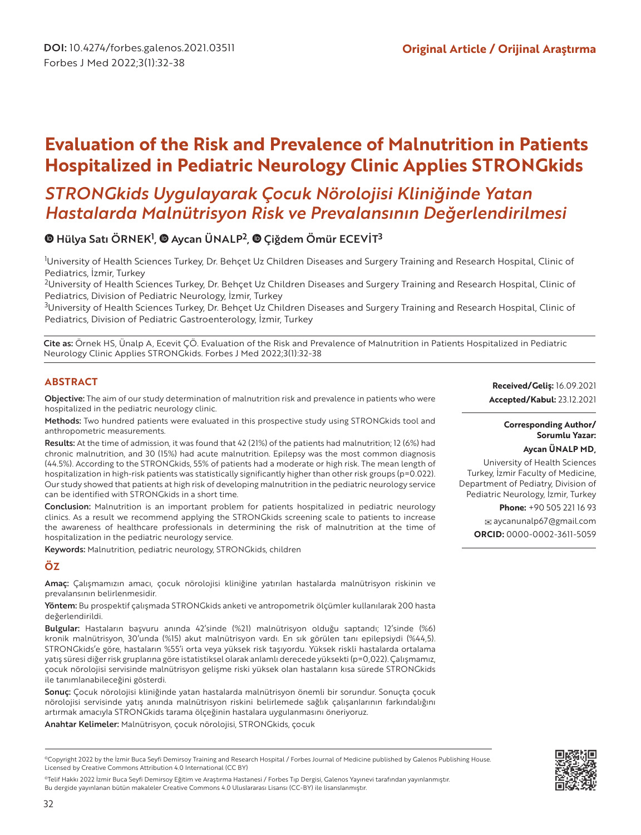# **Evaluation of the Risk and Prevalence of Malnutrition in Patients Hospitalized in Pediatric Neurology Clinic Applies STRONGkids**

## *STRONGkids Uygulayarak Çocuk Nörolojisi Kliniğinde Yatan Hastalarda Malnütrisyon Risk ve Prevalansının Değerlendirilmesi*

## Hülya Satı ÖRNEK<sup>1</sup>, @ Aycan ÜNALP<sup>2</sup>, @ Çiğdem Ömür ECEVİT<sup>3</sup>

1 University of Health Sciences Turkey, Dr. Behçet Uz Children Diseases and Surgery Training and Research Hospital, Clinic of Pediatrics, İzmir, Turkey

<sup>2</sup>University of Health Sciences Turkey, Dr. Behçet Uz Children Diseases and Surgery Training and Research Hospital, Clinic of Pediatrics, Division of Pediatric Neurology, İzmir, Turkey

 $^3$ University of Health Sciences Turkey, Dr. Behçet Uz Children Diseases and Surgery Training and Research Hospital, Clinic of Pediatrics, Division of Pediatric Gastroenterology, İzmir, Turkey

Cite as: Örnek HS, Ünalp A, Ecevit ÇÖ. Evaluation of the Risk and Prevalence of Malnutrition in Patients Hospitalized in Pediatric Neurology Clinic Applies STRONGkids. Forbes J Med 2022;3(1):32-38

## **ABSTRACT**

Objective: The aim of our study determination of malnutrition risk and prevalence in patients who were hospitalized in the pediatric neurology clinic.

Methods: Two hundred patients were evaluated in this prospective study using STRONGkids tool and anthropometric measurements.

Results: At the time of admission, it was found that 42 (21%) of the patients had malnutrition; 12 (6%) had chronic malnutrition, and 30 (15%) had acute malnutrition. Epilepsy was the most common diagnosis (44.5%). According to the STRONGkids, 55% of patients had a moderate or high risk. The mean length of hospitalization in high-risk patients was statistically significantly higher than other risk groups (p=0.022). Our study showed that patients at high risk of developing malnutrition in the pediatric neurology service can be identified with STRONGkids in a short time.

Conclusion: Malnutrition is an important problem for patients hospitalized in pediatric neurology clinics. As a result we recommend applying the STRONGkids screening scale to patients to increase the awareness of healthcare professionals in determining the risk of malnutrition at the time of hospitalization in the pediatric neurology service.

Keywords: Malnutrition, pediatric neurology, STRONGkids, children

## **ÖZ**

Amaç: Çalışmamızın amacı, çocuk nörolojisi kliniğine yatırılan hastalarda malnütrisyon riskinin ve prevalansının belirlenmesidir.

Yöntem: Bu prospektif çalışmada STRONGkids anketi ve antropometrik ölçümler kullanılarak 200 hasta değerlendirildi.

Bulgular: Hastaların başvuru anında 42'sinde (%21) malnütrisyon olduğu saptandı; 12'sinde (%6) kronik malnütrisyon, 30'unda (%15) akut malnütrisyon vardı. En sık görülen tanı epilepsiydi (%44,5). STRONGkids'e göre, hastaların %55'i orta veya yüksek risk taşıyordu. Yüksek riskli hastalarda ortalama yatış süresi diğer risk gruplarına göre istatistiksel olarak anlamlı derecede yüksekti (p=0,022). Çalışmamız, çocuk nörolojisi servisinde malnütrisyon gelişme riski yüksek olan hastaların kısa sürede STRONGkids ile tanımlanabileceğini gösterdi.

Sonuç: Çocuk nörolojisi kliniğinde yatan hastalarda malnütrisyon önemli bir sorundur. Sonuçta çocuk nörolojisi servisinde yatış anında malnütrisyon riskini belirlemede sağlık çalışanlarının farkındalığını artırmak amacıyla STRONGkids tarama ölçeğinin hastalara uygulanmasını öneriyoruz.

Anahtar Kelimeler: Malnütrisyon, çocuk nörolojisi, STRONGkids, çocuk

©Telif Hakkı 2022 İzmir Buca Seyfi Demirsoy Eğitim ve Araştırma Hastanesi / Forbes Tıp Dergisi, Galenos Yayınevi tarafından yayınlanmıştır. Bu dergide yayınlanan bütün makaleler Creative Commons 4.0 Uluslararası Lisansı (CC-BY) ile lisanslanmıştır.

**Received/Geliş:** 16.09.2021 **Accepted/Kabul:** 23.12.2021

## **Corresponding Author/ Sorumlu Yazar:**

## **Aycan ÜNALP MD,**

University of Health Sciences Turkey, İzmir Faculty of Medicine, Department of Pediatry, Division of Pediatric Neurology, İzmir, Turkey

**Phone:** +90 505 221 16 93

 aycanunalp67@gmail.com **ORCID:** 0000-0002-3611-5059



<sup>©</sup>Copyright 2022 by the İzmir Buca Seyfi Demirsoy Training and Research Hospital / Forbes Journal of Medicine published by Galenos Publishing House. Licensed by Creative Commons Attribution 4.0 International (CC BY)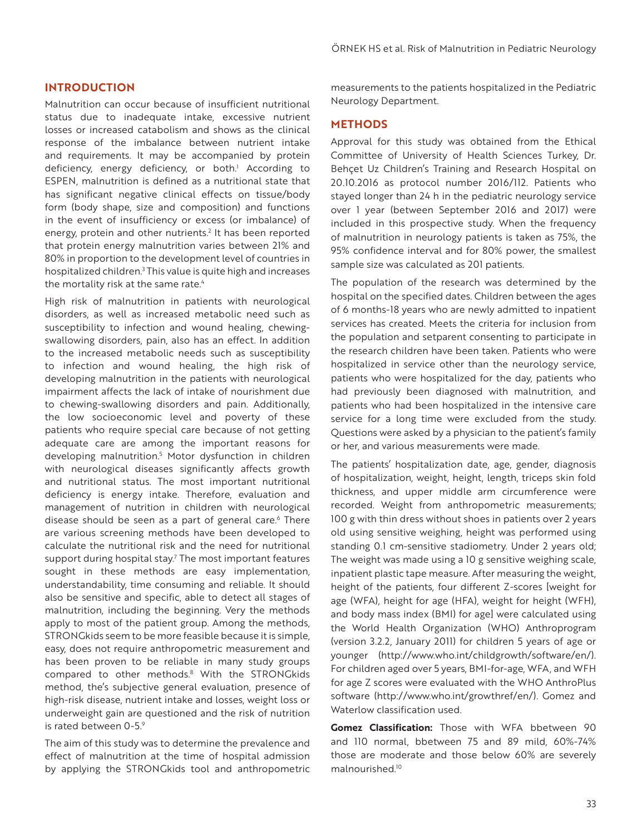#### **INTRODUCTION**

Malnutrition can occur because of insufficient nutritional status due to inadequate intake, excessive nutrient losses or increased catabolism and shows as the clinical response of the imbalance between nutrient intake and requirements. It may be accompanied by protein deficiency, energy deficiency, or both.<sup>1</sup> According to ESPEN, malnutrition is defined as a nutritional state that has significant negative clinical effects on tissue/body form (body shape, size and composition) and functions in the event of insufficiency or excess (or imbalance) of energy, protein and other nutrients.<sup>2</sup> It has been reported that protein energy malnutrition varies between 21% and 80% in proportion to the development level of countries in hospitalized children.<sup>3</sup> This value is quite high and increases the mortality risk at the same rate.<sup>4</sup>

High risk of malnutrition in patients with neurological disorders, as well as increased metabolic need such as susceptibility to infection and wound healing, chewingswallowing disorders, pain, also has an effect. In addition to the increased metabolic needs such as susceptibility to infection and wound healing, the high risk of developing malnutrition in the patients with neurological impairment affects the lack of intake of nourishment due to chewing-swallowing disorders and pain. Additionally, the low socioeconomic level and poverty of these patients who require special care because of not getting adequate care are among the important reasons for developing malnutrition.5 Motor dysfunction in children with neurological diseases significantly affects growth and nutritional status. The most important nutritional deficiency is energy intake. Therefore, evaluation and management of nutrition in children with neurological disease should be seen as a part of general care.<sup>6</sup> There are various screening methods have been developed to calculate the nutritional risk and the need for nutritional support during hospital stay.<sup>7</sup> The most important features sought in these methods are easy implementation, understandability, time consuming and reliable. It should also be sensitive and specific, able to detect all stages of malnutrition, including the beginning. Very the methods apply to most of the patient group. Among the methods, STRONGkids seem to be more feasible because it is simple, easy, does not require anthropometric measurement and has been proven to be reliable in many study groups compared to other methods.<sup>8</sup> With the STRONGkids method, the's subjective general evaluation, presence of high-risk disease, nutrient intake and losses, weight loss or underweight gain are questioned and the risk of nutrition is rated between 0-5.9

The aim of this study was to determine the prevalence and effect of malnutrition at the time of hospital admission by applying the STRONGkids tool and anthropometric measurements to the patients hospitalized in the Pediatric Neurology Department.

#### **METHODS**

Approval for this study was obtained from the Ethical Committee of University of Health Sciences Turkey, Dr. Behçet Uz Children's Training and Research Hospital on 20.10.2016 as protocol number 2016/112. Patients who stayed longer than 24 h in the pediatric neurology service over 1 year (between September 2016 and 2017) were included in this prospective study. When the frequency of malnutrition in neurology patients is taken as 75%, the 95% confidence interval and for 80% power, the smallest sample size was calculated as 201 patients.

The population of the research was determined by the hospital on the specified dates. Children between the ages of 6 months-18 years who are newly admitted to inpatient services has created. Meets the criteria for inclusion from the population and setparent consenting to participate in the research children have been taken. Patients who were hospitalized in service other than the neurology service, patients who were hospitalized for the day, patients who had previously been diagnosed with malnutrition, and patients who had been hospitalized in the intensive care service for a long time were excluded from the study. Questions were asked by a physician to the patient's family or her, and various measurements were made.

The patients' hospitalization date, age, gender, diagnosis of hospitalization, weight, height, length, triceps skin fold thickness, and upper middle arm circumference were recorded. Weight from anthropometric measurements; 100 g with thin dress without shoes in patients over 2 years old using sensitive weighing, height was performed using standing 0.1 cm-sensitive stadiometry. Under 2 years old; The weight was made using a 10 g sensitive weighing scale, inpatient plastic tape measure. After measuring the weight, height of the patients, four different Z-scores [weight for age (WFA), height for age (HFA), weight for height (WFH), and body mass index (BMI) for age] were calculated using the World Health Organization (WHO) Anthroprogram (version 3.2.2, January 2011) for children 5 years of age or younger (http://www.who.int/childgrowth/software/en/). For children aged over 5 years, BMI-for-age, WFA, and WFH for age Z scores were evaluated with the WHO AnthroPlus software (http://www.who.int/growthref/en/). Gomez and Waterlow classification used.

**Gomez Classification:** Those with WFA bbetween 90 and 110 normal, bbetween 75 and 89 mild, 60%-74% those are moderate and those below 60% are severely malnourished.10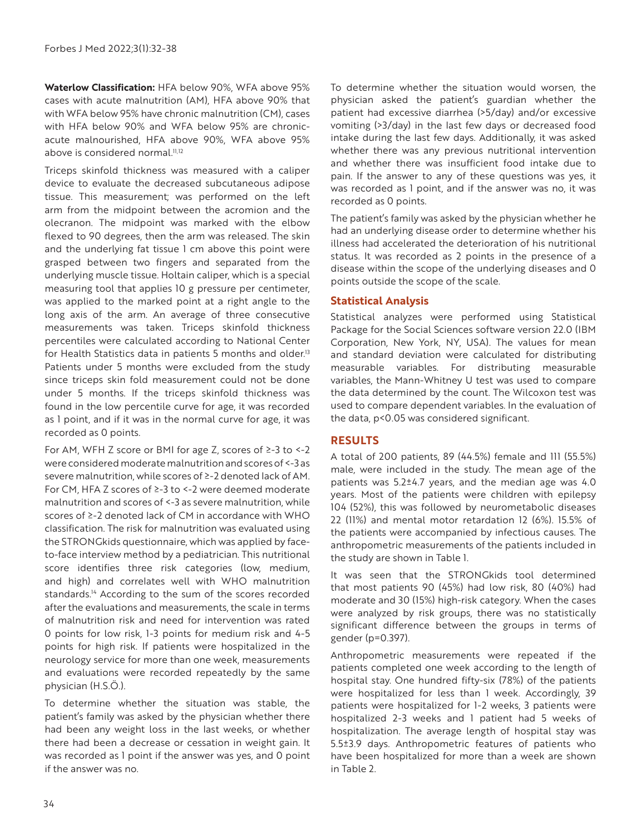**Waterlow Classification:** HFA below 90%, WFA above 95% cases with acute malnutrition (AM), HFA above 90% that with WFA below 95% have chronic malnutrition (CM), cases with HFA below 90% and WFA below 95% are chronicacute malnourished, HFA above 90%, WFA above 95% above is considered normal.<sup>11,12</sup>

Triceps skinfold thickness was measured with a caliper device to evaluate the decreased subcutaneous adipose tissue. This measurement; was performed on the left arm from the midpoint between the acromion and the olecranon. The midpoint was marked with the elbow flexed to 90 degrees, then the arm was released. The skin and the underlying fat tissue 1 cm above this point were grasped between two fingers and separated from the underlying muscle tissue. Holtain caliper, which is a special measuring tool that applies 10 g pressure per centimeter, was applied to the marked point at a right angle to the long axis of the arm. An average of three consecutive measurements was taken. Triceps skinfold thickness percentiles were calculated according to National Center for Health Statistics data in patients 5 months and older.<sup>13</sup> Patients under 5 months were excluded from the study since triceps skin fold measurement could not be done under 5 months. If the triceps skinfold thickness was found in the low percentile curve for age, it was recorded as 1 point, and if it was in the normal curve for age, it was recorded as 0 points.

For AM, WFH Z score or BMI for age Z, scores of ≥-3 to <-2 were considered moderate malnutrition and scores of <-3 as severe malnutrition, while scores of ≥-2 denoted lack of AM. For CM, HFA Z scores of ≥-3 to <-2 were deemed moderate malnutrition and scores of <-3 as severe malnutrition, while scores of ≥-2 denoted lack of CM in accordance with WHO classification. The risk for malnutrition was evaluated using the STRONGkids questionnaire, which was applied by faceto-face interview method by a pediatrician. This nutritional score identifies three risk categories (low, medium, and high) and correlates well with WHO malnutrition standards.<sup>14</sup> According to the sum of the scores recorded after the evaluations and measurements, the scale in terms of malnutrition risk and need for intervention was rated 0 points for low risk, 1-3 points for medium risk and 4-5 points for high risk. If patients were hospitalized in the neurology service for more than one week, measurements and evaluations were recorded repeatedly by the same physician (H.S.Ö.).

To determine whether the situation was stable, the patient's family was asked by the physician whether there had been any weight loss in the last weeks, or whether there had been a decrease or cessation in weight gain. It was recorded as 1 point if the answer was yes, and 0 point if the answer was no.

To determine whether the situation would worsen, the physician asked the patient's guardian whether the patient had excessive diarrhea (>5/day) and/or excessive vomiting (>3/day) in the last few days or decreased food intake during the last few days. Additionally, it was asked whether there was any previous nutritional intervention and whether there was insufficient food intake due to pain. If the answer to any of these questions was yes, it was recorded as 1 point, and if the answer was no, it was recorded as 0 points.

The patient's family was asked by the physician whether he had an underlying disease order to determine whether his illness had accelerated the deterioration of his nutritional status. It was recorded as 2 points in the presence of a disease within the scope of the underlying diseases and 0 points outside the scope of the scale.

## **Statistical Analysis**

Statistical analyzes were performed using Statistical Package for the Social Sciences software version 22.0 (IBM Corporation, New York, NY, USA). The values for mean and standard deviation were calculated for distributing measurable variables. For distributing measurable variables, the Mann-Whitney U test was used to compare the data determined by the count. The Wilcoxon test was used to compare dependent variables. In the evaluation of the data, p<0.05 was considered significant.

## **RESULTS**

A total of 200 patients, 89 (44.5%) female and 111 (55.5%) male, were included in the study. The mean age of the patients was 5.2±4.7 years, and the median age was 4.0 years. Most of the patients were children with epilepsy 104 (52%), this was followed by neurometabolic diseases 22 (11%) and mental motor retardation 12 (6%). 15.5% of the patients were accompanied by infectious causes. The anthropometric measurements of the patients included in the study are shown in Table 1.

It was seen that the STRONGkids tool determined that most patients 90 (45%) had low risk, 80 (40%) had moderate and 30 (15%) high-risk category. When the cases were analyzed by risk groups, there was no statistically significant difference between the groups in terms of gender (p=0.397).

Anthropometric measurements were repeated if the patients completed one week according to the length of hospital stay. One hundred fifty-six (78%) of the patients were hospitalized for less than 1 week. Accordingly, 39 patients were hospitalized for 1-2 weeks, 3 patients were hospitalized 2-3 weeks and 1 patient had 5 weeks of hospitalization. The average length of hospital stay was 5.5±3.9 days. Anthropometric features of patients who have been hospitalized for more than a week are shown in Table 2.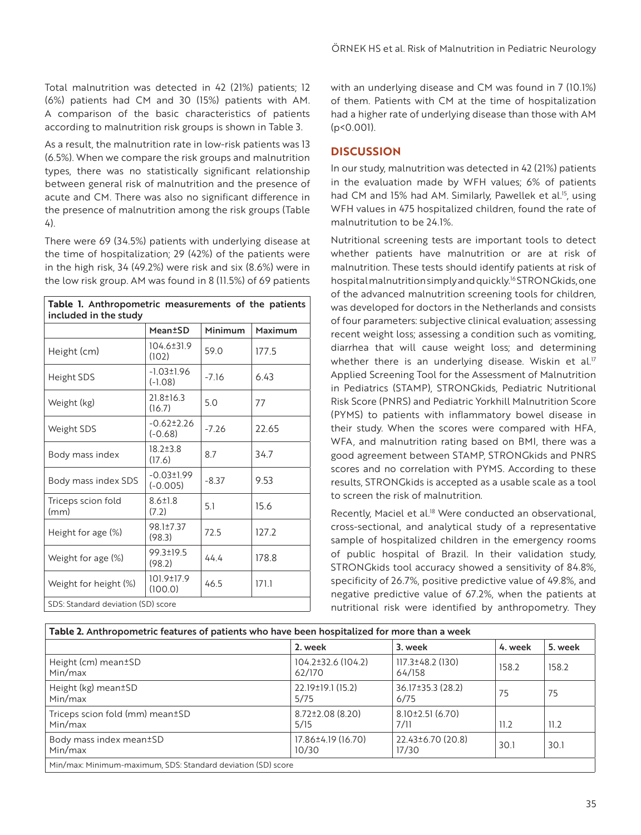Total malnutrition was detected in 42 (21%) patients; 12 (6%) patients had CM and 30 (15%) patients with AM. A comparison of the basic characteristics of patients according to malnutrition risk groups is shown in Table 3.

As a result, the malnutrition rate in low-risk patients was 13 (6.5%). When we compare the risk groups and malnutrition types, there was no statistically significant relationship between general risk of malnutrition and the presence of acute and CM. There was also no significant difference in the presence of malnutrition among the risk groups (Table 4).

There were 69 (34.5%) patients with underlying disease at the time of hospitalization; 29 (42%) of the patients were in the high risk, 34 (49.2%) were risk and six (8.6%) were in the low risk group. AM was found in 8 (11.5%) of 69 patients

| Table 1. Anthropometric measurements of the patients<br>included in the study |                                |         |         |  |  |
|-------------------------------------------------------------------------------|--------------------------------|---------|---------|--|--|
|                                                                               | <b>Mean</b> <sup>t</sup> SD    | Minimum | Maximum |  |  |
| Height (cm)                                                                   | 104.6±31.9<br>(102)            | 59.0    | 177.5   |  |  |
| Height SDS                                                                    | $-1.03 \pm 1.96$<br>$(-1.08)$  | $-7.16$ | 6.43    |  |  |
| Weight (kg)                                                                   | $21.8 \pm 16.3$<br>(16.7)      | 5.0     | 77      |  |  |
| Weight SDS                                                                    | $-0.62 \pm 2.26$<br>$(-0.68)$  | $-7.26$ | 22.65   |  |  |
| Body mass index                                                               | $18.2 \pm 3.8$<br>(17.6)       | 8.7     | 34.7    |  |  |
| Body mass index SDS                                                           | $-0.03 \pm 1.99$<br>$(-0.005)$ | $-8.37$ | 9.53    |  |  |
| Triceps scion fold<br>(mm)                                                    | $8.6 \pm 1.8$<br>(7.2)         | 5.1     | 15.6    |  |  |
| Height for age (%)                                                            | 98.1±7.37<br>(98.3)            | 72.5    | 127.2   |  |  |
| Weight for age (%)                                                            | 99.3±19.5<br>(98.2)            | 44.4    | 178.8   |  |  |
| Weight for height (%)                                                         | 101.9±17.9<br>(100.0)          | 46.5    | 171.1   |  |  |
| SDS: Standard deviation (SD) score                                            |                                |         |         |  |  |

with an underlying disease and CM was found in 7 (10.1%) of them. Patients with CM at the time of hospitalization had a higher rate of underlying disease than those with AM (p<0.001).

#### **DISCUSSION**

In our study, malnutrition was detected in 42 (21%) patients in the evaluation made by WFH values; 6% of patients had CM and 15% had AM. Similarly, Pawellek et al.<sup>15</sup>, using WFH values in 475 hospitalized children, found the rate of malnutritution to be 24.1%.

Nutritional screening tests are important tools to detect whether patients have malnutrition or are at risk of malnutrition. These tests should identify patients at risk of hospital malnutrition simply and quickly.16 STRONGkids, one of the advanced malnutrition screening tools for children, was developed for doctors in the Netherlands and consists of four parameters: subjective clinical evaluation; assessing recent weight loss; assessing a condition such as vomiting, diarrhea that will cause weight loss; and determining whether there is an underlying disease. Wiskin et al.<sup>17</sup> Applied Screening Tool for the Assessment of Malnutrition in Pediatrics (STAMP), STRONGkids, Pediatric Nutritional Risk Score (PNRS) and Pediatric Yorkhill Malnutrition Score (PYMS) to patients with inflammatory bowel disease in their study. When the scores were compared with HFA, WFA, and malnutrition rating based on BMI, there was a good agreement between STAMP, STRONGkids and PNRS scores and no correlation with PYMS. According to these results, STRONGkids is accepted as a usable scale as a tool to screen the risk of malnutrition.

Recently, Maciel et al.<sup>18</sup> Were conducted an observational, cross-sectional, and analytical study of a representative sample of hospitalized children in the emergency rooms of public hospital of Brazil. In their validation study, STRONGkids tool accuracy showed a sensitivity of 84.8%, specificity of 26.7%, positive predictive value of 49.8%, and negative predictive value of 67.2%, when the patients at nutritional risk were identified by anthropometry. They

| Table 2. Anthropometric features of patients who have been hospitalized for more than a week |                                |                             |         |         |  |
|----------------------------------------------------------------------------------------------|--------------------------------|-----------------------------|---------|---------|--|
|                                                                                              | 2. week                        | 3. week                     | 4. week | 5. week |  |
| Height (cm) mean±SD<br>Min/max                                                               | 104.2±32.6 (104.2)<br>62/170   | 117.3±48.2 (130)<br>64/158  | 158.2   | 158.2   |  |
| Height (kg) mean±SD<br>Min/max                                                               | 22.19±19.1 (15.2)<br>5/75      | 36.17±35.3 (28.2)<br>6/75   | 75      | 75      |  |
| Triceps scion fold (mm) mean±SD<br>Min/max                                                   | $8.72 \pm 2.08$ (8.20)<br>5/15 | $8.10\pm2.51(6.70)$<br>7/11 | 11.2    | 11.2    |  |
| Body mass index mean±SD<br>Min/max                                                           | 17.86±4.19 (16.70)<br>10/30    | 22.43±6.70 (20.8)<br>17/30  | 30.1    | 30.1    |  |
| Min/max: Minimum-maximum, SDS: Standard deviation (SD) score                                 |                                |                             |         |         |  |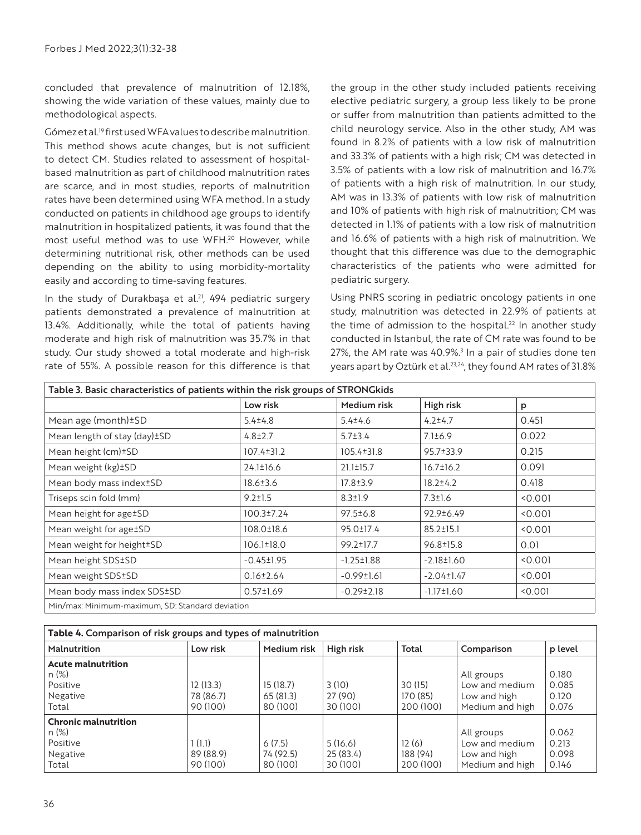concluded that prevalence of malnutrition of 12.18%, showing the wide variation of these values, mainly due to methodological aspects.

Gómez et al.<sup>19</sup> first used WFA values to describe malnutrition. This method shows acute changes, but is not sufficient to detect CM. Studies related to assessment of hospitalbased malnutrition as part of childhood malnutrition rates are scarce, and in most studies, reports of malnutrition rates have been determined using WFA method. In a study conducted on patients in childhood age groups to identify malnutrition in hospitalized patients, it was found that the most useful method was to use WFH.20 However, while determining nutritional risk, other methods can be used depending on the ability to using morbidity-mortality easily and according to time-saving features.

In the study of Durakbaşa et al.<sup>21</sup>, 494 pediatric surgery patients demonstrated a prevalence of malnutrition at 13.4%. Additionally, while the total of patients having moderate and high risk of malnutrition was 35.7% in that study. Our study showed a total moderate and high-risk rate of 55%. A possible reason for this difference is that the group in the other study included patients receiving elective pediatric surgery, a group less likely to be prone or suffer from malnutrition than patients admitted to the child neurology service. Also in the other study, AM was found in 8.2% of patients with a low risk of malnutrition and 33.3% of patients with a high risk; CM was detected in 3.5% of patients with a low risk of malnutrition and 16.7% of patients with a high risk of malnutrition. In our study, AM was in 13.3% of patients with low risk of malnutrition and 10% of patients with high risk of malnutrition; CM was detected in 1.1% of patients with a low risk of malnutrition and 16.6% of patients with a high risk of malnutrition. We thought that this difference was due to the demographic characteristics of the patients who were admitted for pediatric surgery.

Using PNRS scoring in pediatric oncology patients in one study, malnutrition was detected in 22.9% of patients at the time of admission to the hospital.<sup>22</sup> In another study conducted in Istanbul, the rate of CM rate was found to be 27%, the AM rate was 40.9%.<sup>3</sup> In a pair of studies done ten years apart by Oztürk et al.23,24, they found AM rates of 31.8%

| Table 3. Basic characteristics of patients within the risk groups of STRONGkids |                  |                  |                  |         |  |
|---------------------------------------------------------------------------------|------------------|------------------|------------------|---------|--|
|                                                                                 | Low risk         | Medium risk      | High risk        | p       |  |
| Mean age (month) ± SD                                                           | $5.4 \pm 4.8$    | $5.4 \pm 4.6$    | $4.2 \pm 4.7$    | 0.451   |  |
| Mean length of stay (day) ± SD                                                  | $4.8 \pm 2.7$    | $5.7 \pm 3.4$    | $7.1 \pm 6.9$    | 0.022   |  |
| Mean height (cm) ±SD                                                            | $107.4 \pm 31.2$ | $105.4 \pm 31.8$ | 95.7±33.9        | 0.215   |  |
| Mean weight (kg)±SD                                                             | $24.1 \pm 16.6$  | $21.1 \pm 15.7$  | $16.7 \pm 16.2$  | 0.091   |  |
| Mean body mass index±SD                                                         | 18.6±3.6         | 17.8±3.9         | $18.2 \pm 4.2$   | 0.418   |  |
| Triseps scin fold (mm)                                                          | $9.2 \pm 1.5$    | $8.3 \pm 1.9$    | $7.3 \pm 1.6$    | 50.001  |  |
| Mean height for age±SD                                                          | $100.3 \pm 7.24$ | $97.5 \pm 6.8$   | 92.9±6.49        | 50.001  |  |
| Mean weight for age <sup>+</sup> SD                                             | 108.0±18.6       | 95.0±17.4        | $85.2 \pm 15.1$  | 50.001  |  |
| Mean weight for height±SD                                                       | $106.1 \pm 18.0$ | 99.2±17.7        | 96.8±15.8        | 0.01    |  |
| Mean height SDS±SD                                                              | $-0.45 \pm 1.95$ | $-1.25 \pm 1.88$ | $-2.18 \pm 1.60$ | < 0.001 |  |
| Mean weight SDS±SD                                                              | $0.16 \pm 2.64$  | $-0.99 \pm 1.61$ | $-2.04 \pm 1.47$ | < 0.001 |  |
| Mean body mass index SDS±SD                                                     | $0.57 \pm 1.69$  | $-0.29 \pm 2.18$ | $-1.17 \pm 1.60$ | < 0.001 |  |
| Min/max: Minimum-maximum, SD: Standard deviation                                |                  |                  |                  |         |  |

| Table 4. Comparison of risk groups and types of malnutrition             |                                   |                                  |                                 |                                  |                                                                 |                                  |
|--------------------------------------------------------------------------|-----------------------------------|----------------------------------|---------------------------------|----------------------------------|-----------------------------------------------------------------|----------------------------------|
| Malnutrition                                                             | Low risk                          | Medium risk                      | High risk                       | <b>Total</b>                     | Comparison                                                      | p level                          |
| <b>Acute malnutrition</b><br>$n (\%)$<br>Positive<br>Negative<br>Total   | 12(13.3)<br>78 (86.7)<br>90 (100) | 15(18.7)<br>65(81.3)<br>80 (100) | 3(10)<br>27 (90)<br>30 (100)    | 30 (15)<br>170 (85)<br>200 (100) | All groups<br>Low and medium<br>Low and high<br>Medium and high | 0.180<br>0.085<br>0.120<br>0.076 |
| <b>Chronic malnutrition</b><br>$n (\%)$<br>Positive<br>Negative<br>Total | 1(1.1)<br>89 (88.9)<br>90 (100)   | 6(7.5)<br>74 (92.5)<br>80 (100)  | 5(16.6)<br>25(83.4)<br>30 (100) | 12(6)<br>188 (94)<br>200 (100)   | All groups<br>Low and medium<br>Low and high<br>Medium and high | 0.062<br>0.213<br>0.098<br>0.146 |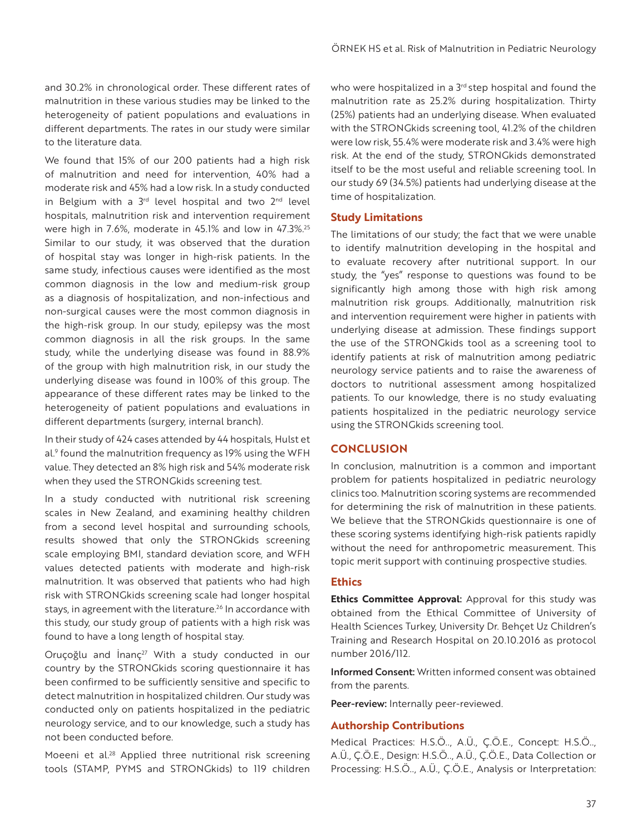and 30.2% in chronological order. These different rates of malnutrition in these various studies may be linked to the heterogeneity of patient populations and evaluations in different departments. The rates in our study were similar to the literature data.

We found that 15% of our 200 patients had a high risk of malnutrition and need for intervention, 40% had a moderate risk and 45% had a low risk. In a study conducted in Belgium with a  $3<sup>rd</sup>$  level hospital and two  $2<sup>nd</sup>$  level hospitals, malnutrition risk and intervention requirement were high in 7.6%, moderate in 45.1% and low in 47.3%.<sup>25</sup> Similar to our study, it was observed that the duration of hospital stay was longer in high-risk patients. In the same study, infectious causes were identified as the most common diagnosis in the low and medium-risk group as a diagnosis of hospitalization, and non-infectious and non-surgical causes were the most common diagnosis in the high-risk group. In our study, epilepsy was the most common diagnosis in all the risk groups. In the same study, while the underlying disease was found in 88.9% of the group with high malnutrition risk, in our study the underlying disease was found in 100% of this group. The appearance of these different rates may be linked to the heterogeneity of patient populations and evaluations in different departments (surgery, internal branch).

In their study of 424 cases attended by 44 hospitals, Hulst et al.9 found the malnutrition frequency as 19% using the WFH value. They detected an 8% high risk and 54% moderate risk when they used the STRONGkids screening test.

In a study conducted with nutritional risk screening scales in New Zealand, and examining healthy children from a second level hospital and surrounding schools, results showed that only the STRONGkids screening scale employing BMI, standard deviation score, and WFH values detected patients with moderate and high-risk malnutrition. It was observed that patients who had high risk with STRONGkids screening scale had longer hospital stays, in agreement with the literature.<sup>26</sup> In accordance with this study, our study group of patients with a high risk was found to have a long length of hospital stay.

Oruçoğlu and  $\ln 2^{27}$  With a study conducted in our country by the STRONGkids scoring questionnaire it has been confirmed to be sufficiently sensitive and specific to detect malnutrition in hospitalized children. Our study was conducted only on patients hospitalized in the pediatric neurology service, and to our knowledge, such a study has not been conducted before.

Moeeni et al.<sup>28</sup> Applied three nutritional risk screening tools (STAMP, PYMS and STRONGkids) to 119 children who were hospitalized in a 3<sup>rd</sup> step hospital and found the malnutrition rate as 25.2% during hospitalization. Thirty (25%) patients had an underlying disease. When evaluated with the STRONGkids screening tool, 41.2% of the children were low risk, 55.4% were moderate risk and 3.4% were high risk. At the end of the study, STRONGkids demonstrated itself to be the most useful and reliable screening tool. In our study 69 (34.5%) patients had underlying disease at the time of hospitalization.

#### **Study Limitations**

The limitations of our study; the fact that we were unable to identify malnutrition developing in the hospital and to evaluate recovery after nutritional support. In our study, the "yes" response to questions was found to be significantly high among those with high risk among malnutrition risk groups. Additionally, malnutrition risk and intervention requirement were higher in patients with underlying disease at admission. These findings support the use of the STRONGkids tool as a screening tool to identify patients at risk of malnutrition among pediatric neurology service patients and to raise the awareness of doctors to nutritional assessment among hospitalized patients. To our knowledge, there is no study evaluating patients hospitalized in the pediatric neurology service using the STRONGkids screening tool.

#### **CONCLUSION**

In conclusion, malnutrition is a common and important problem for patients hospitalized in pediatric neurology clinics too. Malnutrition scoring systems are recommended for determining the risk of malnutrition in these patients. We believe that the STRONGkids questionnaire is one of these scoring systems identifying high-risk patients rapidly without the need for anthropometric measurement. This topic merit support with continuing prospective studies.

#### **Ethics**

**Ethics Committee Approval**: Approval for this study was obtained from the Ethical Committee of University of Health Sciences Turkey, University Dr. Behçet Uz Children's Training and Research Hospital on 20.10.2016 as protocol number 2016/112.

Informed Consent: Written informed consent was obtained from the parents.

Peer-review: Internally peer-reviewed.

#### **Authorship Contributions**

Medical Practices: H.S.Ö.., A.Ü., Ç.Ö.E., Concept: H.S.Ö.., A.Ü., Ç.Ö.E., Design: H.S.Ö.., A.Ü., Ç.Ö.E., Data Collection or Processing: H.S.Ö.., A.Ü., Ç.Ö.E., Analysis or Interpretation: